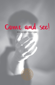

2021 Advent Devotional

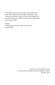This Advent season we invite you to daily meditate in God's Word. Thanks to our brothers and sisters at the University Lutheran Chapel, we have a well thought out devotional each day, to help us wait for the coming of our Savior, Jesus Christ.

Editors, *Ashleigh Creeden, Norma Polk, Amy Robson, Jeaneen Wyly*

> *"Come and see what God has done: he is awesome in his deeds toward the children of man."* [Psa 66:5 ESV]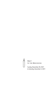

Week 1 IN THE BEGINNING

Sunday, November 28, 2021 to Saturday, December 4, 2021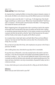# John 1:1–3 **Come and See** | Pastor Gabe Kasper

An important key in reading the Bible is to know that scripture interprets scripture. In other words, the Bible is one coherent story and the different pieces are interrelated.

So, when we read a verse like John 1:1 and it says, *"In the beginning,"* that should trigger something in us where we ask, "Where have I heard that before?" And the answer is in Genesis 1, the first words in the first book of the Bible: "In the beginning, *God created the heavens and the earth."* 

What's happening here is the gospel writer John is pointing us back to the creation of the world. And if we look back at the story of creation we see that John is telling us something important about who God is. In the creation narrative, we see that God is present, but then the text tells us that the *"Spirit of God hovered over the waters,"*  and then finally as God creates, He speaks and His Word is present.

So in creation there is God, God's Spirit, and God's Word. There are three different "persons," but only one God. Three who's and one what. This is the doctrine of the Trinity. This is our God.

But, our text isn't just about the Trinity—John emphasizes one person in the Trinity in particular, The Word.

John is talking about Jesus. And what he says about Him is remarkable.

He says that Jesus of Nazareth—a man who actually lived on this earth in real time and space, a man who ate and drank and laughed and probably stubbed his toe at one time or another is...God. This man who walked the streets of first century Israel is actually one with the God who exists eternally and created everything we see. This means we have a God who is not only a transcendent, all-powerful Creator, but He is a God we can know.

In Jesus, God invites you to come and see who He is. May you do that this Advent.

Reflection: Where have you seen God at work in your life?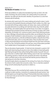# Psalm 33:6–9 **The Wonder of Creation** | Bob Grese

At the start of Advent, it's useful to be reminded of just who our God is. He is the maker of all things, the Lord of Creation. He is clearly worthy of our praise and adoration. He made and rules the earth; therefore, His promises to us come from Someone with all authority.

As someone who's spent much of his career studying and caring for nature, I continue to marvel at the wonderful diversity and beauty of God's creation. As a child, I was fascinated with all things outdoors (water, soil, leaves, trees, insects, and birds) and was pretty destructive as my siblings and I dammed creeks, dug in the dirt, peeled bark off trees, and created outdoor forts and tree houses. As an adult, I've sought to understand how ecosystems function and how we as humans can play a role in their stewardship. Yet through it all, I continue to stand in awe of God's planning and power. Here in Michigan and particularly around Ann Arbor, we are blessed to have many examples of God's handiwork in nature all around us—in our neighborhoods, in our many parks and preserves, at the Arb and Botanical Gardens, along the Huron River, around the Great Lakes, and in so many other places. These are places that sustain us daily and provide physical and emotional respite from the more hectic and busier parts of our lives. During the pandemic this past year, many of these places provided much needed solace to many people in our community and region.

They are also places of great wonder. It's hard not to be immersed in a prairie in full bloom with insects buzzing all around or to be in the middle of a forest with gentle light filtering through the trees without feeling lifted outside of yourself. One can't gaze at the stars or northern lights without feeling a sense of awe. Even small things like watching squirrels or chipmunks store up food for the winter or the delicate catkins and flower buds on trees and shrubs that hold the promise of blooms for next spring are no less than miraculous.

During the weeks ahead as we prepare for the coming of our Savior, let us find joy in the miracle of God's creation that surrounds us daily. Ours is a God who created all things and will certainly keep His promises to redeem us.

# Reflection:

Think about how your life is enriched by God's creation—the view out your window, a walk you've taken recently, or memories of a camping trip this past summer—how did God speak to you through those things? If God provides those daily miracles to us, how much more can we trust Him to answer our prayers? Have you thanked Him for those blessings?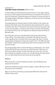# Isaiah 40:26–31 **A God Who Creates and Sustains** | William Cannon

It's both terrifying and comforting to look up into the sky on a clear night. Terrifying because you cannot escape how small and finite you are compared to the vastness of space, but comforting in finding that despite your finitude, the universe continues to exist despite whatever challenges or setbacks you are facing in your life. This passage examines this emotion.

The passage begins by calling the readers to lift their attention to the vastness and greatness of the whole cosmos. Not only did God create everything but He sustains it in perfect order. Verse 27 then exposes the natural conclusion we can jump to—that our lives are meaningless in comparison to the vastness of creation. We reasonably, yet mistakenly, think our lives are insignifcant to a Being that made stars billions of light years away.

Verse 28 quickly corrects our misunderstanding—God, having made all things, misses nothing: *"His understanding is unsearchable."* Not only does He see our small, insignifcant lives, He sustains them at every stage of life. Verse 31 ends by recognizing the strength given to those who accept this truth: *"The LORD shall renew their strength"* and give them everything they need to move through the rest of their days here on earth.

This passage grapples with our inherent limitations as created beings: even *"youths will grow faint and be weary, and young men will fall exhausted."* God meets us in these very limitations and gives us all we need when we *"wait on Him."* From this place of waiting, He empowers us to fy, to run, and walk through all the days ahead of us. Let's take comfort the next time we look up into the night sky.

# Reflection:

Where do you feel, or have felt, looked-over by God in your life? What was your response to this emotion?

Spend time considering the power of God on display in creation. What has He made that you have never considered?

Where in your life are you fainting or growing weary? What does waiting for the LORD do in these areas?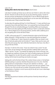# Luke 2:25–32 **Getting Old is Not for the Faint of Heart** | David Carlson

Luke doesn't actually say Simeon was an old man, but I think it is safe to infer it from the text. I became an old man this year, by my own reckoning anyway. I turned 75 this past summer and declared to my family that 75 was an official enough age for being old and that henceforth they would have to cut me some slack, like listening to my stories even if they've heard them before.

So what about this getting old thing? In *A Grief Observed*, C. S. Lewis said that he was surprised at how similar grief feels to fear. I am surprised how much being old feels like grief. The old are constantly letting go of something. When you're young you don't think much about getting old. Why should you? Youth is surely God's intention for us. Then by degree you're not young anymore, and then rather suddenly you're old, and getting old is not for the faint of heart.

In 2003, at the young age of 57, I moved to Kentucky to take my last full-time job before retirement. I moved next door to a man who would become my dearest friend. E. H. Melson was 91 when I became his neighbor. When we moved in next door, he had only weeks earlier lost his bride of 71 years. Helen was her name, and when they were young, they had a child who lived only for a few hours. Ever after, it was just the two of them.

One day E. H. told me of his vision. "It was not a dream! It was a vision" he said. In his vision, he was working in the back yard when suddenly Helen came to him. "When I saw her," he said, "I ran towards her leaping over a bush on the way. I haven't leaped over anything in 60 years, but I had no trouble jumping over that bush." Helen stopped him, he said. She said he couldn't come with her yet, but she was waiting. And he knew he would leap over bushes once again.

Getting old is not for the faint of heart. This is where Simeon comes in. He had been faithfully waiting on a promise. And then that promise was in his arms. I find that getting old has its compensations. It focuses one's attention on eternity. "*… you may now dismiss your servant in peace. For my eyes have seen your salvation."* From Simeon to me—from one old man to another--the promise remains. That promise, and realization, of salvation is not of course only for the old, but it sure is what keeps us from faintness of heart.

# Reflection:

How does the promise of salvation and the promise of eternity interact with your present life?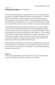#### 1 John 1:1–5 **The Sound of the Word** | Paul Chamberlain

"Let's start at the very beginning, a very good place to start." If you had grown up in my family, you'd instantly recognize those words as the opening bars of "Do-Re-Mi" from *The Sound of Music*—my mom's favorite musical, and one whose songs we often sang together. The premise of Do-Re-Mi is that singing starts with being able to match the pitch and tone of all the notes in a scale. From this foundation of notes, you can craft melodies, harmonies, lyrics, and rhythms to sing any song imaginable.

1 John begins by proclaiming someone as foundational to our journey of faith as notes are to music: the Word of Life. We learn in today's reading that eternal life *"... was with the Father and was made manifest to us"* (v. 2) through this Word. The Word is none other than Jesus Christ, as we learn from John's Gospel. In 1 John, we experience the Word as Someone people could hear, see, look upon, and touch (v. 1), and Someone who completes our joy (v. 4). We could not make our way to God due to our sinfulness, brokenness, and wayward hearts, yet we can have friendship with God because the Word became flesh and dwelt among us.

Advent celebrates God coming to earth to be with us through the birth of Jesus. The One who is light, and in whom there is not the faintest hint of darkness, chooses to come and die for us even though we were walking in and completely enveloped by darkness. Praise be to God!

#### Reflection:

Have you felt yourself walking in darkness lately? How can you invite God to draw you ever more deeply into his light and make your joy complete?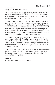# Hebrews 11:1–3 **Seeing Isn't Believing** | Danielle Behnke

"Seeing is believing," or so the saying goes. After all, that's how society seems to operate. We demand concrete evidence and overall tend towards fnding things out for ourselves. It's much harder for us to accept statements blindly. However, that's not what God asks us to do when it comes to faith.

Hebrews 11:1 states that *"faith is the assurance of things hoped for, the conviction of things not seen."* This is especially true during the season of Advent as we look forward to Christmas and reflect on the original period of waiting for the Savior. When God promised Adam and Eve that their descendant would be the One to come and finally defeat Satan, they had to take that promise on faith. They did not get to see the fulfllment of that promise and neither did generation after generation of their descendants. They all had to have faith that eventually God would fulfll His promise and until then, they would have to be content with waiting without seeing.

When it comes to the promise of Jesus's first coming, we have already seen its fulfllment. We have the words of our fellow Christians who did see Christ and his eventual victory over Satan. However, we still have to accept those words without seeing how those events unfolded, and we have to accept God's promises that have not yet been fulflled. Even though we're no longer waiting for Jesus' birth, we are still waiting for His return.

This can be daunting. Thankfully, God has told us that we're not on our own. We have the Holy Spirit sparking faith within us and strengthening it daily. Therefore, within this time of waiting, we can trust our God and come and see how faithful He has been since the beginning of time.

Reflection:

How does God call you to "faith without seeing"?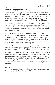# Colossians 1:12–18 **Grandeur in Every Square Inch** | Kyle Gontjes

Have you ever tried to photograph the moon? I have. Without high-quality flters, the moon can appear distorted and insignifcant, looking like a pinhole in the canvas of the night sky. By focusing on taking polished, Instagram-worthy photos, we often overlook what's right in plain sight. We miss experiencing the moon's inherent beauty and its grandeur, especially its provision of light amid a sea of darkness.

Today's Scripture reading, Colossians 1:12–18, reminds us of Christ's preeminence over creation. Paul reminds us that *"all things were created through Him and for Him."* Christ is *"before all things"* and *"in Him all things hold together."* Importantly, Christ reigns supreme over all created things, *"whether they be thrones, or domains, or principalities, or powers."*

Notice Paul's assurance of Christ's headship over all things. All things were created through Him, for Him, and are held together by Him. Abraham Kuyper exquisitely exclaims the significance of Christ's sovereignty in his oft-quoted phrase: "There is not a square inch in the whole domain of our human existence over which Christ, who is Sovereign over all, does not cry: 'Mine!'" There is not a single square inch where Christ does not cry: "Mine!" How amazing is that?

Let's briefly return to our discussion of photography. Camera filters are powerful tools. Filters can improve a photo's lighting, color, and even cover up blemishes! Filters can both positively and negatively alter our relationship to the world around us.

How do you see the world? What filters are you using? Do you fix your eyes on Christ and rest in Him? Without drawing near unto Christ, Kuyper argues that "we stagger in the darkness and stumble through life as if careening off tombstones." I hope that we draw near unto Christ this Advent season. May we dwell in the grandeur of Christ's sovereignty and his provision of light amidst the darkness. May you look around this Advent season and rejoice in Christ's preeminence and magnifcent handiwork!

#### Reflection:

Where do you experience the wonder of Christ's handiwork? Are there areas in your life where you can better honor Christ's lordship?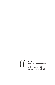

Week 2 Light in the Darkness

Sunday, December 5, 2021 to Saturday, December 11, 2021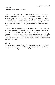#### John 1:4–8 **Overcome The Darkness** | Todd Baker

Think back over the past year. Have there been moments when you felt defeated, distressed, or broken-hearted? To say that the trials and tribulations of this world can be overwhelming is an understatement. The darkness that is mentioned in verse 5 of today's reading is often all too easy to see in our daily lives. It can be very tempting to see this darkness and admit defeat, seeking solace from the pain that surrounds us. What chance do we have against the pain and suffering that constantly swirls around us?

There is a light that cannot be overcome by the darkness, sin, and brokenness in this world. Jesus is the light that the evil in this world cannot overcome. Christ our Savior cannot be defeated by COVID, relationship divisions, employment distress, mental and emotional health trauma, or any other trial that may come our way in this world. We could spend all day listing the ailments that bring us pain, and these present expressions of darkness would certainly overpower and destroy us if we tried to fight back on our own strength.

#### Reflection:

Join me in asking the Lord to shine a light on the darkness and give us the strength and grace to defeat the sin and pain that ravages our lives. Praise the Lord that He sent His Son to shine a light and overcome the darkness for us.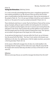# Psalm 36 **Tuning Out Distractions** | McKinley Schmitz

It is a truth universally acknowledged that those given a megaphone typically don't have anything worthwhile to say. We all know at least one person that has been given a societal platform that they should not possess. They are the reincarnation of the wicked in Psalm 36: *"For in his own eyes he fatters himself too much to detect or hate his sin. The words of his mouth are wicked and deceitful"* (Psalm 36:2–3).

These individuals wreak havoc in society. They fan the flames of hate and fear among groups of people, pitting one against another and creating places for animosity to fester. It is painful to see this happen at all, but it is worse to see it among those who hold places in the Church. There are those who use their platform to voice opinions that drive people away from the faith instead of drawing them closer. Their opinions are not rooted in the good news of the Gospel, but in their own pride.

As we welcome the beginning of a new year within the Church, we can find peace from the second half of the Psalm: *"Your love, O Lord, reaches to the heavens, your faithfulness to the skies. Your righteousness is like the mighty mountains, your justice is like the great deep"* (Psalm 36:5–6).

As this season is filled with messages from all sides, let us hold steadfast in the knowledge that the message of Christ's birth never ceases. May the voices that fll the airspace with nonsense fade away and allow us to focus on the truth, for it will never fail.

# Reflection:

What are some ways that you can avoid the messages that distract from the truth?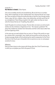## Isaiah 40:1–5 **Her Warfare is Ended** | Chloe Haynes

Life can be incredibly stressful and overwhelming. We are led into sin countless times, which complicates our lives, knotting them into a disarray that we can't untangle. There are plenty of things the world prescribes to heal this mess through earthly means: yoga, self-care, a degree, a dog, a new relationship, and other quick fxes for our entanglement. These things are good in the right context, but they can never solve the messes that we are. If anything, they add to it.

Isaiah 40 speaks of an entrance of peace. The text refers not only to an end to Israel's warfare, but also introduces a forgiveness of sins: *"Her iniquity is pardoned."* The peace they needed was salvation from themselves and their sinful nature rather than just from opposing armies.

In the same way, we need salvation from our own sin. Things of this world can never be a solution that is meaningful. Jesus' death and resurrection are the only way. The Scripture passage alludes to this by declaring the need for preparation for the Christ. This time in the Church year is the perfect time to examine our own sin and prepare ourselves for Jesus.

# Reflection:

Have you been trying to solve messes with things other than Christ? Examine ways in which you can prepare your life for the peace of Christ.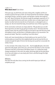# 1 John 1:1–5 **What about Jesus?** | Dan Dolsen

A few years ago, my wife Kristin and I were visiting with a neighbor and the conversation turned to the topic of faith. Our friend shared that she had been a deeply committed Christian, married to a pastor, and had been a teacher who taught all the "stuff" about Christianity. She had even taught the apologetic arguments of C.S. Lewis, who stated that that we could never consider Jesus as simply a good moral teacher; he either had to be truly the Son of God *(Lord)*, or a deranged *lunatic*, or simply a *liar*. But she shared that today, she would have none of these arguments.

As the conversation continued, we simply asked her, "We get where you are with these arguments, but what are you going to do about Jesus?" She knew what this question meant—that she could not simply turn her back on the truth that Jesus lived and walked on Earth, and that there is irrefutable evidence of his resurrection. She paused and stated, "Now that *is* something I must think about."

Kristin and I never learned where our friend ended up on her search for Christ (unfortunately, we moved from that neighborhood), but we do know that the conversation brought the light of Christ to her that day and caused her to reconsider the reality of Jesus.

It is this reminder of the reality of Jesus's life…that He *really did* walk on the Earth, spent time with people, went to the cross, and rose from the dead. It is this incarnate Christmas truth that is at the heart of the Advent season. It's a reality that simply changes everything! It's this truth—this reality—that brings light into the dark places of our lives and inspires us to see clearly who Christ is and that through this light, *"our joy is complete."* 

# Reflection:

How does the truth about Jesus coming into the world impact your faith and complete your joy?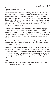# 2 Corinthians 4:1–10 **Light in Darkness** | Rob Kasemeyer

Did you ever tour a cave or a mine before the days of cell phones? If so, then you probably experienced the tour guide turning off all the lights to show what true darkness looked like. In that setting, you literally could not see your hand right in front of your face. Thankfully, the guide didn't leave the lights off for very long, and the tour resumed with normalcy. Nowadays, the tours are quite different: everyone has a "flashlight" in their pocket and the experience can be altered by the slightest glimmer of light. Just a few lumens allow shapes and colors to come alive again. Thank God for a glimmer of light!

Yet, we still live in dark times. Sometimes it seems like we live like blind people stumbling around in the dark. However, the darker the world, the brighter even a dim light looks. Darkness changes dramatically when we remember and share God's Word. As verse 6 says, *"For God, who said, 'Let light shine out of darkness,' has shone in our hearts to give the light of the knowledge of the glory of God in the face of Jesus Christ."*

We have the light! Our mission is to share that light of the gospel. As a cell phone illuminates a dark cave, Christ's light pierces the darkness of this world. Jesus can shine through us as we love

our neighbor in diffcult times. Paul writes in verses 7–9: *"But we have this treasure in jars of clay, to show that the surpassing power belongs to God and not us. We are afficted in every way, but not crushed; perplexed, but not driven to despair; persecuted, but not forsaken; struck down, but not destroyed."* Regardless of our circumstances, good or bad, we have His light. Shine. As Oscar Hammerstein II put it, "The love in your heart wasn't put there to stay. Love isn't love until it's given away."

# Reflection:

In what ways does the world around you appear as dark as the interior of a cave? How can you allow God's light to shine through you?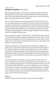#### 1 Peter 3:13–17 **The Answer in Darkness** | Becky Johnson

What kind of Advent reading is this? I love the passages about John the Baptist or the passages from Isaiah, but this reading? How does it fit the Advent message of light in the midst of darkness? What does God want to teach us from this particular Scripture during this particular season of Advent?

Peter is writing to Christians who are being persecuted for their faith. These Christians were under great pressure! Certainly, we could say that they were surrounded by darkness. How does Peter encourage them? He tells them that they are blessed when they suffer for what is right. Wait a minute. Isn't the Christmas message about comfort and glad tidings? We didn't sign up for suffering as we gather to worship the baby in the manger. But that is Peter's message. Suffering for the name of Jesus is part of the package of following Jesus.

This is how we shine as lights in this dark world, a world flled with threats, with fear of being cancelled, and with ever-growing opposition to the name of Jesus: We start by revering, or setting apart, Christ as Lord. Popularity isn't our lord, 'likes' on social media aren't our lord, the new trend of the day isn't lord. Jesus is Lord. Listen to Him, follow Him, imitate His example.

Be able to give a defense of the Gospel, but do not be defensive. Always be prepared to give an answer when asked to present a reason for the hope that you have. If our light is shining, if we are living as Jesus-followers, then our actions should cause people to wonder and ask about our faith. And when they do, we speak with gentleness and respect. Wow! That's certainly different from most of the speech we hear around us. If we could obey this simple sentence, we would shine as lights in a dark world.

But here's the problem: the darkness is not just out there—all those others who insult, who threaten, who don't speak respectfully and kindly—the darkness is in me, too. Is my suffering for doing good, or is my suffering often the result of my own sin? I need the Light of the World, Jesus, to come into my darkness, to set me free from my sinful ways, to empower me to suffer because He has suffered for me. That baby in the manger went to the cross. He did not retaliate when mistreated, nor did He open his mouth and argue; rather, He suffered for doing good and He did it for me, for you, and for all those living in darkness.

# Reflection:

How can the way we speak and act point to Jesus, the Light of the World?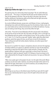# Luke 11:33–36 **Bright Eyes Reflect the Light** | Monica Heissenbuettel

The opening lines of an old Sunday School song begin "Oh, be careful little eyes what you see…" This song is a reminder that the eyes are the window to the soul. They are the gateway to the brain. They are the door to the heart. Eyes that see healthy, wholesome, God-pleasing sights will be filled with the light Luke writes about. And that light is the Light of Christ.

As an early childhood educator, young mom, and follower of Jesus, I walk gingerly, attempting to be careful and shield young eyes from the darkness. Books, music, videos, social media and our cultural environment can all refect the darkness. If young eyes are looking at dark things, they cannot fully reflect the light.

John writes: *"If we claim to have fellowship with Him and yet walk in the darkness, we lie and do not live out the truth. But if we walk in the light, as He is in the light, we have fellowship with one another, and the blood of Jesus, His Son, purifes us from all sin"* (1 John 1:6–7). If we fll our eyes with "healthy" sights, sights that refect God's goodness, words that capture His love, we will have no room for the darkness: *"Have nothing to do with the fruitless deeds of darkness, but rather expose them"* (Ephesians 5:11).

But none of us is perfect! Sin creeps in, temptations abound, and even the trappings of holiday traditions can capture our attention and draw our eyes into the darkness, distracting us away from the Light of Christ. Isaiah reminds us, though, that *"the people walking in darkness have seen a great light; on those living in the land of deep darkness a light has dawned"* (Isaiah 9:2). Followers of Jesus are drawn to His Light, redeemed by Him through His death and resurrection. Our eyes are flled with His Light!

*"When Jesus spoke again to the people, He said, 'I am the Light of the world. Whoever follows me will never walk in darkness, but will have the light of life"* (John 8:12). Filled with His light, where there is no room for darkness, we can boldly shine our lights on a stand, drawing others to Him.

# Reflection:

What things can you focus on this Advent season that fill your eyes with His Light? How can you intentionally look for ways to shine His light to those who don't yet know Him?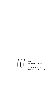

Week 3 Children of God

Sunday, December 12, 2021 to Saturday, December 18, 2021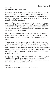# John 1:9–13 **God Is Never Silent** | Margaret Baker

As a literature student, I love finding the Gospel in the most unlikely of places. The Intertestamental Period, the 400 years between Malachi's prophecy around 430 B.C. about the coming of Elijah, and the arrival on the scene of John the Baptist, who fulflled that prophecy, is one of those places. God did not speak directly with His people during that four-century period.

In that time of Heavenly quiet, Greek civilization flourished, and among their output was the oft-cited "Allegory of the Cave" from Plato's *Republic*. Simply explained, the story relates the tale of three prisoners living in a dark cave, only seeing reality as shadows, until one breaks free, discovers the sun, and has to acknowledge that his view of reality has been wrong all along.

 Socrates explains, "When it is seen, it leads us directly to the fnding that it is the universal cause of all that is right and beautiful. It is the source of visible light and the master of the same, and in the intelligible world, it is the master of truth and reason."

"When it is seen," writes Plato. Indeed, John tells us, this light, only dimly understood in the pagan world, the "true light" that gives light to everyone, has come into the world. Not only was this light an actual human being, He was also God. He IS Plato's "universal cause of all that is right and beautiful," as without Him nothing was made that has been made. And best of all, He promises adoption as children into His heavenly family to all who come out of the cave of sin, the world, and darkness, and joyfully, humbly believe.

As Christians, because of God's gracious revelation through His Word, we know what Plato did not. The true light to which John the Baptist was a witness is here! And it is not the sun; it is the One who made the sun, makes us His children, and saves us from our sins: Jesus! Hallelujah! Thanks be to God!

#### Reflection:

Give thanks that you are adopted into the family of the One true light!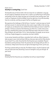# Psalm 16:4–6 **Security in a Loving King | Sarah Trent**

The beautiful story of Christ's birth is the true reason for our celebration. Long ago, He sent angels to shepherds and wise men, as well as an earthly king to chief priests and teachers of the Law. Today, He draws you to Himself to hear exciting news: God is with us! Prophecies of old are fulfilled, at just the right time. He set the boundary lines for an eternity—and they are good. God has not forgotten you!

We experience the challenges of life full-force. A "portion" is what we wrap our hands and heart around—it's what we hold onto, like a warm mug of coffee in the morning. Or maybe you are blessed to have a faithful friend that holds your hand, if asked? Or perhaps a memory so precious that whenever you think of it, a smile comes across your face, revealing how it warms your heart? My heart melts at the love of a Great King. At Advent, we recall Psalm 16:4–6: God remembers His people; we are secure in His love. People disappoint us sometimes, but God is faithful.

In any sorrow, heartache and illness, remember God is with you. Allow Scripture to take up space in your mind and heart. Will you close your eyes and let it flow directly to your heart? If so, smile. Know that this One King loves you completely. Pleasant boundaries are the promises of God. His promises do not change with your life's circumstances. A Royal seal of love was set right at the beginning of time—just for you.

This King is present with you every day. This Advent season, may the Scriptures soak into your heart and mind, becoming a source of strength to carry you through—all year round.

#### Reflection:

Knowing that One King loves you completely, how will you respond today?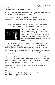## Isaiah 9:2–6 **Love Moves us Out of Darkness** | Larry Frank

Isaiah 9:2 *"The people walking in darkness have seen a great light; on those living in the land of the shadow of death a light has dawned."*

Think of a dark room, with a single candle lit. Look how it flls the darkness that had been there. The light seems fragile; your own movement could cause a wind that could snuff it out.

Look at the candle's flame, how it was made: Jesus' light is from God-perfect in construction, without flaw or weakness, designed for light to show love.



Now say this: "Jesus' light is my light." Jesus' light IS your light, so protect it in all your goings and comings. Of course, to guard the fame you will need the Word, His Word. Chasing the darkness away, His light shatters the yoke of your burdens and increases joy, and in Jesus' light, your refected light will shine from you for others to see.

You may have grown complacent (Is 10:26–27), or you believe your burdens are yours alone to carry, but they rest uneasy on your heart. Instead, let the bright shining light of Jesus and His love for you continue to move you out of the darkness.

Even though our world is in 3-D, only His light truly gives it shape. In the light we are a shape, a spirit: in Him, we become Jesus' present to the Father., It is the only thing we were made for.

C. S. Lewis notes that "the swiftest thing that touches our senses is light…." When Jesus' love for us is known within us, it shines from us to those around us. One can never see, without the candle of Jesus' light burning bright, the unique calling He has for each of us. Our spiritual gifts are God's gift to us.

Shine His light today, tomorrow too, even forever: the light of His candle burns bright, and yours can too!

Reflection:

What is your own description of this light? How does His light shine in your darkness? What is the purpose of His reign in your life?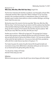# Romans 8:12–17 **Who Lives, Who Dies, Who Tells Your Story** | Angela Post

The frst time I listened to the Hamilton soundtrack, I was thoroughly confused. Who is Alexander Hamilton? Who is Aaron Burr? What is Yorktown? To say I was disappointed in this soundtrack would be an understatement. About six months later, I decided to give it another chance while on a drive to northern Michigan, and things haven't been the same since.

My favorite song in this musical is the last song titled "Who Lives, Who Dies, Who Tells Your Story." In this final song, the cast returns to tell the audience how Hamilton infuenced them following his death. After giving us an exhaustive list of all of the things she did in memory of her husband, Eliza Hamilton asks the audience "Will they tell your story? Who lives, who dies, who tells your story?"

Another way to ask this is "What will my legacy be?" This passage from Scripture answers these questions and confdently declares the truth for all Christians: Those who are led by the Spirit of God are the children of God (v. 14)! Since we are children of God, which the Spirit testifes to (v. 16), we are co-heirs with Christ, provided we suffer with Him in order that we may share in His glory (v. 17).

The Creator has given His creation the gift of eternal life through the death and resurrection of Jesus Christ. While there is absolutely nothing we can do to earn it, we can thank God for this gift by telling others His story.

"So, stay young, scrappy, and hungry And don't throw away your shot."

# Reflection:

What are some ways you can share the gift of your eternal legacy with others today?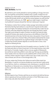## Galatians 3:23–29 **Faith, Not Works** | Thad Polk

My wife Norma and I recently attended an evening wedding in Chicago. And somehow, I let myself be convinced that I needed to wear a tuxedo. It looked nice and everything, but unfortunately very few people availed themselves of the opportunity to dress that formally. And let's just say that the contrast between my outfit and that of the guy with no socks was, um, STARK.  $\odot$  As you might imagine, I would have much preferred if everyone dressed like I did, but it clearly wasn't required.

The Galatians, to whom Paul is writing in today's passage, had similarly convinced themselves that they had to behave in a way that wasn't required, but the stakes were much higher. The Galatians had become convinced that they couldn't be real Christians unless they obeyed the Jewish law, even though they weren't Jewish. That might sound strange to modern Christians, but when Paul wrote this letter, virtually all Christians were Jewish and saw Jesus as the fulfllment of God's Old Testament promises to the Jews. But that view raises a key question: Do you have to be Jewish in order to be a Christian? Many of the Galatians believed that the answer was yes, but Paul recognized the very significant danger in this belief. Put simply, it implies that Christian salvation depends on more than faith in Christ; it also depends on following the law.

Paul points out that God gave the Law to his people to serve as a "guardian" (v. 24); the Greek word refers to a kind of moral tutor. So if the Jewish law was a tutor, what did it teach us? Ironically, it taught us that no one was capable of following the law and that we need to be justifed in some other way! That way was provided by Christ's death on the cross. Now we can be justifed by faith in Christ's work (v. 24), and that's *all* that's required. It doesn't matter if we're Jew or Greek, slave or free, male or female, we're all one in Christ through faith (v. 28).

Of course, modern-day Christians don't believe we need to follow Jewish law. Nevertheless, it's easy for us to become divided over issues that aren't really central to our faith (e.g., hymns vs. contemporary music, dressing up vs. casually for church, Republicans vs. Democrats). Let us remember that our shared faith in Christ's sacrifice is what really matters, and we are all united as children of God through that faith (v. 26).

# Reflection:

Are there aspects of your Christian walk that are not central to the faith but that you allow to separate you from your brothers and sisters in Christ? What steps can you take to help unify rather than divide his Church?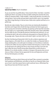# 1 John 3:1–11 **Love of our Father** | Paul K. Knickelbein

As you can see from my profle above, I have a bunch of kids. I love them. I would do anything for them! I am pretty sure that any father reading this would do the same. Unlike our heavenly Father, I make mistakes; I make wrong decisions, but when all is said and done, I love my kids and want what is best for them, even in my imperfect way. What a huge blessing it is that we have a Father who is perfect and loves us in a perfect way.

My kids also make mistakes. They sin and at times are intentionally disobedient. I love them and I forgive them all with the hope and desire for them to grow up to be fine young men and women. (And they are growing up that way!) But more than that, this leads us to a responsibility. Author Ben Horowitz wrote a book called *What You Do Is Who You Are*. If we take the premise of that book and continue to sin, we are taking the devil's side and are obviously acting against our Heavenly Father. As the passage reads, *"Anyone who does not do what is right is not God's child"* (vs. 10).

But that's the blessing of being God's child: He calls us daily to repentance and always forgives us. No matter the sin, no matter the mistake, our Heavenly Father is always standing there, arms wide open to envelope us in his embrace, to welcome us back to him. When we truly accept the invitation that God gives us to be his child, we should want to do nothing else than to stop sinning and step it up to the next level: refect the love of God by loving others placed here on earth around us. Whether it's to a family member, co-worker, or stranger at the grocery store, we can show our Father in Heaven that we appreciate His love and forgiveness and share the love that God gives us to others.

#### Reflection:

Are there times that you feel all alone and not loved? Take a moment to remember God's goodness and faithfulness, and reflect on how He, our Heavenly Father, loves you so much–more than anyone here on earth could ever love us. Write down five ways that you have seen His love in your life.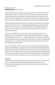# Philippians 2:12–18 **Shine Like Stars** | Jeaneen Wyly

Complaining is almost an American pastime: gas prices are too high, we're frustrated that items we "need" are stuck on ships or in warehouses, and we never seem to get paid enough for everything we're expected to do at work. Arguing is much the same: just the words "guns," "vaccines," and "social issues" can send our blood pressure way above 120/80. And would cable news even survive without arguing?

Yet we are admonished to obey God by not arguing or complaining, thus *"shin[ing] like stars in the universe"* for a *"crooked and depraved generation."* In other words, Christ's love is to transform us so completely that we are noticeably different from those around us; we are less concerned with the things of this world and more focused on the eternal.

These verses are difficult for me: since I was a little girl, my dad called me "the lawyer" because I constantly felt the need to argue and defend myself, my brother, the random person in the news…. And complaining? I have it down to an art form: there are *always* things that could be better, which means I'm often not satisfed with how things *are*. It is so easy for me to get emotional about policies and procedures that ultimately *don't even matter*.

And that's the problem: when we focus on the minutiae of this world, we lose track of God's overarching plan or *"good purpose"* for us and for the world. We forfeit the opportunity to rest in God, to experience His peace, and to share the light of His Holy Spirit to others. This Advent season, may our spirits fnd a calmness and peacefulness in Christ among the chaos of this world. And may the light of Christ so shine through us, as stars in the universe, that others are drawn to experience Him for themselves.

# Reflection:

In what ways do I require the Holy Spirit's transformation so that I can reflect Christ's love in me instead of the complaining and arguing that are natural to me? Who is someone God may be placing in my life this Christmas season with whom I can share Jesus's love?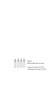

Week 4 WORD BECAME FLESH

Sunday, December 19, 2021 to Saturday, December 25, 2021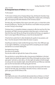#### John 1:14–28 **An Unexpected Source of Fullness** | Abby Haggard

#### 'Tis the season!

'Tis the season of being merry, bringing tidings of joy, drinking hot chocolate, hanging ornaments, building snowmen, hearing sleigh bells, singing carols, exchanging gifts, and enjoying all the other festivities of the Christmas season!

The holly, jolly, and mistletoe of this season come with a price, or at least that is what the ads are telling me: "Buy this! Your life will be so much better once you purchase our item! Find joy in the savings!"

Christmas time is a competition between companies to offer the most from life. How do products sell? Well, consumers gravitate to what they need—or at least to what they think they need. We buy the things that we believe will bring us an upgrade, at least in some regard. What will bring us a more full and abundant life?

I'll be the first to admit that I'm often blinded by the sparkle of new products, and thus, I miss the real point of what makes this season so joyous.

*Everything* we need was made manifest through Jesus Christ. Over 2000 years ago on one night in Bethlehem, a young girl gave birth to everything we ever needed and laid him in an animal's feeding box.

The highest King of kings. The source of my salvation. The one who made me right with the Creator of the universe.

This one that lay in a grimy little box after a long journey to Bethlehem in the least "sparkly" place one would ever expect to fnd a King—He brought me and you *"grace upon grace"* and truth, as John tells us. On that night, the lowliest of births brought me and you the most valuable of gifts: eternal life with the Lord. What was materially poor was the most abundant and life-giving gift of all time.

Do rejoice in the festivities of the season. Be merry! But remind yourself of the truest reason for the holly, jolly, and mistletoe—the birth of Christ, in whom we receive grace upon grace and the fullness of life.

#### Reflection:

How might we be ones in the world who demonstrate that our fullness is in Christ? How do we live as Christians in a world that so often counters the gospel message?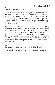# Psalm 2 **More Than A Manger** | Liz Komurka

In 2019, my husband took me to my frst Living Nativity. Just before the end of the mile-long walk, little kids (i.e. the shepherds) come bursting out of hiding spots, leaping, shouting and pointing to the lit star in the sky—until you turn the corner and a hush falls over the group because there, bundled up under many layers and surrounded by animals (including a real donkey!), is a couple and a rather realistic baby lying in a manger. Once you've had your fill of qazing at Baby Jesus, that's it, you leave and go home.

But, if we leave Jesus as the baby in the manger and simply go home, we're falling into a romanticized fairytale trap. His story doesn't end as a babe—in fact, it doesn't even end with His Death and Resurrection. Jesus is God's anointed, begotten by the Father outside of time and before all worlds. As such, He has been set as King over all nations, which He will fully claim when all of creation is restored to God during Jesus's Second Coming: *"For it pleased the Father that in Him all the fullness should dwell, and by Him to reconcile all things to Himself, by Him, whether things on earth or things in heaven, having made peace through the blood of His cross"* (Colossians 1:19–20).

# Reflection:

Even as we await this Second Advent, we are called to follow God and His Son—there is no neutrality. The alternative is opposition to God, His Son, and the Word, which will be met with no impartiality. How can you follow Jesus this Advent season?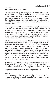#### Isaiah 61:1–4 **Word Became Flesh** | Stephen Mundy

The word "restoration" brings to mind images of 60-year-old cars perfectly remade, or YouTube videos of abandoned cars in fields with more rust than steel turned into spotless specimens that look like they just rolled off the factory floor. If any of you have rebuilt an engine or done bodywork on a rusty car you know how painstaking the work is. It requires patience, attention to detail, dedication, technical skill, and an artist's touch. A successful restoration can only be accomplished with a love and passion for the car.

Isaiah is prophesying about the restoration that Christ is going to bring to this earth. This is literally the Good News that salvation brings. The Lord anointed Christ to right every wrong and heal every wound. We have hope in God's faithfulness to bring total restoration to this earth-to fix every broken part, seal every leaking gasket, repaint every rusty portion. I find it immeasurably comforting that every prisoner will be set free and that every brokenhearted person will be comforted. Christ, in His perfect love and passion for us, will restore the world entirely.

At the beginning of verse 2 we read *"to proclaim the year of the Lord's favor."* One of my favorite car restoration shows is a YouTube series put together by the YouTuber Ronald Finger. In it, he documents a three-year-long restoration of a 1985 Pontiac Fiero 2m4. What makes this project so interesting is not only the depth to which he goes to perfectly restore every single detail of the car, but more so that the car is not particularly valuable. A Malaise-era GM economy car, it makes about 90 horsepower and lacks even power steering. Ronald invests many times the value of the car restoring it. This models to me what the year of the Lord's favor means. God looks upon us with favor, not because there is anything about us deserving of that favor—but rather because He loves us so deeply. And because of His love and favor, He promises to bring total restoration to us and to the world.

As we prepare to celebrate Christ's birth, let us be filled with the excitement, the joy, the anticipation of Christ's coming. Let us feel the energy in Isaiah's words as he describes the restoration that is coming. And then let us remember that this restoration is not only a future event we look forward to when Christ returns—but that this deep, complete restoration is a work that Christ is enacting in us right now.

#### Reflection:

What does it mean in your life to live as someone who is being restored? What are some areas of your life that are in need of restoration? In what ways have you seen God's restoration this past week?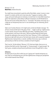## Romans 3:21–26 **Rent-Free** | Andrew Komurka

You might have encountered a quote by author Rory Vaden, saying "success is never owned, it is rented, and the rent is due every day." It appears on posters, coffee mugs, and social media posts to motivate us to work hard—to invest effort toward our goals. The implication is that without sufficient investment, we will fall behind on the rent and success will be taken from us. "Successful," the posters and mugs say, is a label we can temporarily have, but it is not something we can inherently, permanently be.

Taken out of context, Romans 3:23 might send a similar but bleaker message. *"For all have sinned and fall short of the glory of God…"* might as well say "righteousness is never owned, and you'll never afford the rent either." Thankfully, there's more to that sentence, and more to the story! *"[All] are justifed freely by [God's] grace through the redemption that came by Christ Jesus"* (Romans 3:24) is a declaration that we are right with God, just as if we had never sinned, with no payment required. Righteousness, God promises, is owned. Justifed, Christ Jesus says, is what we permanently are. We live rent-free as residents of God's Kingdom.

That's true for *"all who believe"* (Romans 3:22). And even better, there are no restrictions that faith must be "big enough" or "strong enough" or "good enough." By God's grace, complete and permanent justification comes through faith in Jesus.

# Reflection:

Are there parts of your life in which you are "paying rent" towards temporary success? How can remembering your rent-free righteousness change your perspective and mindset towards those things?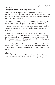# John 14:6–11 **The Way and the Truth and the Life** | David Dickhudt

Have you ever used the maps feature on your phone or a GPS device to provide directions for your travel? And have you ever done as I have on occasion and ignored the GPS directions and taken what you thought was a faster, more direct route only to wind up stuck in a traffic jam or road detour?

Jesus is our infallible GPS, who provides us clear guidance on the way to connect with our almighty God and His Father—*"I am the Way and the Truth and the Life."*  And, yet, too often we listen to other voices, voices from within us or around us, which urge us to take spiritual routes we think may be shorter or faster, but instead are routes that ultimately lead us in the opposite direction from where we should be heading.

This familiar Bible passage goes on to relate the words of Jesus's disciple, Philip, who says, *"Lord, show us the Father and that will be enough for us."* We may wonder how the disciples could have been so blind as to not realize that Jesus is one with God the Father after years of following Jesus and walking with him and witnessing frsthand countless miracles he had done.

And yet how about us? Do we truly know Jesus? Have we taken the time to meditate deeply on God's Word to know Jesus and see the Father through him? Do we know Jesus well enough to describe to a friend the way to the Father—through Jesus and the Word?

# Reflection:

Take a minute to reflect on a couple of things you have come to know about the Father through Jesus,then share those with a friend or colleague—today!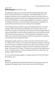# Luke 2:1–20 **Dwelt Among Us** | Pastor Marcus Lane

Throughout the Scriptures, we encounter ways that God repeatedly defies expectations, and the birth of Christ is no exception. Israel's Messiah does not come wrapped in the glory of riches and power. He was not born in the throne room of Caesar Augustus. Instead, he was born in the shadows of the Roman Empire, in the small town of Bethlehem, to a young virgin pledged to be married to a carpenter. His company at his birth is not the social elite of society, but poor shepherds and outcasts. This arrival of God's own Son is nothing if not unexpected.

Søren Kierkegaard tells a parable of a great and noble king who falls in love with a peasant woman. But the king, overwhelmed by his love for this woman, finds himself at an impasse. If he were to go to this woman in all of his majesty, wearing a crown and royal robes, he would certainly overwhelm her, and he could never know if her love for him was truly genuine. So, the king does the unthinkable. He takes off his crown, leaves his throne and castle, and puts on the garments of a peasant to woo the woman who has captured his heart.

Kierkegaard's parable captures one of the many truths at the heart of the incarnation. God's Son has come to us, not in power and majesty to overwhelm or dominate us, but he has come in weakness in order to win us back. He has entered our world, taking on our fesh and dying our death, all so that He might bring us back to the Father. In the words of St. Irenaeus, "He became as we are so that we might become as He is." He became like us, so that we could become like Him: perfect, holy, and righteous children of the Father.

So, come and see the baby wrapped in a manger, because in this One, the King of the world has come.

# Reflection:

How can you gratefully embrace the greatest gift of all—God's presence, love, and redemption—this Advent season? How can you share this Gift with others?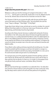### 1 John 5:6–12 **Forget about the presents this year!** | Mark Liston

Whatever is under your tree this morning can't compare to the words in 1 John 5:11–12: *"… God has given us eternal life, and this life is in his Son. Whoever has the Son has life; whoever does not have the Son of God does not have life."* Wow!

This Christmas I'd like for you to ignore the gifts under the tree and think about some of the words to our best Christmas carols: "Joy to the World, the Lord Has Come," "Away in a Manger," "Silent Night," "O Holy Night."

Forget about Santa, letting it snow, and who got run over by a reindeer, for a second. Without Christ there really isn't a Christ-mas. Look at your Christmas tree, with the lights shining, and think about how this all got started.

According to the History channel, Germany is credited with starting the Christmas tree tradition in the 16th century when devout Christians brought decorated trees into their homes. It is a widely held belief that Martin Luther first added lighted candles to a tree. Walking toward his home one winter evening, composing a sermon, he was awed by the brilliance of stars twinkling amidst evergreens. To recapture the scene for his family, he erected a tree in the main room and wired its branches with lighted candles.

Picture Martin Luther walking and being inspired by the twinkling stars. He understood the wonderful gift the Lord gave us and how it all started in a manger in a stable and how it seemed to end with Jesus dying a horrid death on a cross—just so He could overcome death and give each of us everlasting life.

Our Lord gave every one of His people the greatest Christmas gift they could ever want—Eternal Life. All they had to do is believe that Jesus came to die for them so they could join Him for eternity. It is free to us. It is simple. It is the greatest Christmas gift your family could ever receive. Just believe. Merry Christmas!

# Reflection:

MK and I have found that age is wonderful in our walk with Christ. Our daily devotions remind us how we need our Lord as the guide of our lives in every way—every day. We always need to submit to His will and show patience for His guidance.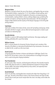#### **ABOUT OUR WRITERS**

#### **Margaret Baker**

*Margaret is married to David, the man of her dreams, and together they are raising*  five wonderful children, ranging from 15-23. Her hobbies include walking, swim*ming, playing from the American Songbook on the piano, accompanying young instrumentalists, reading children's classics, editing college essays, pondering the wonders of Scripture, and learning about fascinating topics, like the endangered kakapo of New Zealand and the mystery of the Basque language, for her 6th grade writing students.*

# **Todd Baker**

*Todd seeks to follow Christ above all else, serves ULC by leading small groups, drinks chocolate milk like it's oxygen, and can often be found engrossed in a book or podcast about an interesting topic.*

#### **Danielle Behnke**

*Danielle is a senior at UM studying English and German. She enjoys reading and knitting, preferably with a cup of tea nearby.*

#### **William Cannon**

*Will is a mission director for University Christian Outreach and a member of the Servants of the Word, an international brotherhood of lay missionaries. He serves as an elder for ULC, as well as on the music team.*

#### **David Carlson**

*Living the good life of winters in Arizona and otherwise in Michigan, David is husband of Pat. He has been a more or less retired professor of sociology for ten years and is a want-to-be guitar slinging troubadour.* 

#### **Paul Chamberlain**

*An avid runner, hiker, musician, and board game enthusiast, Paul recently moved to Seattle, WA, where he works as a software development engineer for Amazon Web Services (AWS). Paul enjoys reading books by many authors, but especially those written by his sister Grace.*

#### **David Dickhudt**

*David, his wife Rose, and daughter Anna moved to Ann Arbor from Hong Kong 3-1/2 years ago. He works at the Delonis Center as the Finance Director and rides his bike several miles to work year-round—except when the snow is too deep, and he takes the bus instead.*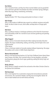# **Dan Dolsen**

*Dan is married to Kristin, and they have three married children and one grandchild. nDan and Kristin split their time between Ann Arbor and Harbor Springs, Michigan, where they enjoy hiking, snowshoeing, and boating.* 

# **Larry Frank**

*Baptized October 1937. Those strong words protect me forever—in Grace!*

# **Kyle Gontjes**

*Kyle is a PhD student at UofM who does research on antibiotic resistance and public health. He likes to listen to music, drink coffee, and keep tabs on Chicago sports teams.*

# **Bob Grese**

*Bob is a professor emeritus in landscape architecture at the School for Environment and Sustainability at UM. He is married to Susan and loves gardening and spending time in nature.*

# **Abby Haggard**

*Abby is a senior at Concordia University Ann Arbor studying Secondary Education English. She enjoys snowboarding, reading, and writing, and she hopes to be a cool English teacher.*

*Chloe Haynes* 

*Chloe is a third year student at Concordia studying Software Engineering. She enjoys the outdoors and is active in CUAA's theatre department.* 

# **Monica Heissenbuettel**

*Monica is the lead preschool teacher at St. Paul Early Childhood Center-Liberty (Downtown) Campus, Ann Arbor. She's married to Bruce, has two daughters, and enjoys teaching piano, playing the church organ, gardening, walking the family Corgi, and traveling.*

# **Becky Johnson**

*Becky Johnson is happily married to Tom and works at Ann Arbor Christian School as the Spiritual Life Coordinator.* 

# **Rob Kasemeyer**

*Rob is a test engineer for an automotive company that remanufactures automatic transmissions. He is married to Heather, and they have one daughter, Rachel. He loves to watch football and visit with friends and family.*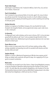#### **Pastor Gabe Kasper**

*Gabe Kasper is Lead Pastor at ULC. Husband to Melissa. Dad to Titus, Lila, and Levi. Fan to Packers. Friend to all.*

# **Paul K. Knickelbein**

*Paul is husband to Suzy and proud father of nine kids, aged 4–26, many of whom you will see around ULC. During the day, he works at a church software company, ParishSOFT and loves playing and watching sports as well as watching and coaching his kids play sports.*

# **Andrew Komurka**

*Andrew is an engineer at Ford Motor Company. He's very thankful for his wife, Elisabeth, their daughter Natalie, and any opportunity to play a sport, make music, or ride a motorcycle.*

# **Liz Komurka**

*A college golf coach, wife to Andrew, and fur-mom to Quincy, 2021, Liz has also been graced with the ability to add "mom" to her accolades through the birth of their daughter, Natalie Grace. Motherhood may be the greatest adventure she's ever been blessed to embark upon.*

# **Pastor Marcus Lane**

*Marcus serves as campus pastor here at ULC and loves reading, writing, coffee, whiskey, basketball, and spending time with his wonderful wife Vanessa and their two kids, Della and Jude!* 

# **Stephen Mundy**

Stephen is a senior in Mechanical Engineering at UM who loves engines and all things car-related, with a particular soft spot for Jeeps. He is applying to Ph.D. programs to research combustion.

# **Mark Liston**

*In 2010 Mark was recruited to join Glass Doctor, a Dwyer Group/Neighborly company, as the Vice President of Operations before becoming the President of Glass Doctor in 2011. His wife, Mary Kay, also worked for Neighborly as the President of Five Star Painting before being recruited to head up Molly Maid, headquartered in Ann Arbor. Both retired from Neighborly in 2020 and now live in Florida.*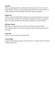# **Thad Polk**

*Thad is a psychology professor at Michigan who does research on how the mind is implemented in the brain, and how aging changes both. He's married to Norma, his college sweetheart, has three children, and loves to golf and play guitar.*

# **Angela Post**

*Angela is a Board Certifed Behavior Analyst who recently transitioned to a new position as the Director of Admissions for Bethesda College at Concordia University-Ann Arbor. She enjoys spending time with friends, playing piano, and line dancing!* 

# **McKinley Schmitz**

*McKinley is a third year business student at Concordia University Ann Arbor. She is deeply involved in the theatre and enjoys reading and watching hockey with her friends.* 

# **Sarah Trent**

*Sarah is the mom of ULC Intern Elizabeth Trent.*

#### **Jeaneen Wyly**

*Jeaneen enjoys reading, traveling, and teaching. She is married to Jamie and is Mom to Makayla and Jenna.*